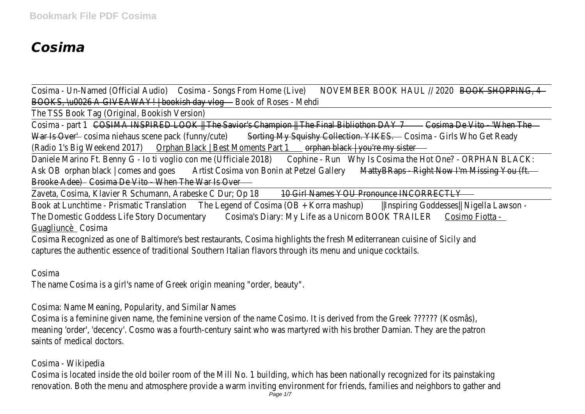# *Cosima*

Cosima - Un-Named (Official Audio) csima - Songs From Home (Live) DVEMBER BOOK HAUL // 2028 OOK SHOPPING, BOOKS, Ju0026 A GIVEAWAY! | bookish day ylonook of Roses - Mehdi

The TSS Book Tag (Original, Bookish Version)

Cosima - part COSIMA INSPIRED LOOK || The Savior's Champion || The Final Bibliothon DA& 65 ima De Vito - 'When The War Is Overcosima niehaus scene pack (funny/cute) My Squishy Collection. YIKES osima - Girls Who Get Ready (Radio 1's Big Weekend 201 Orphan Black | Best Moments Part 1 and black | you're my sister

Daniele Marino Ft. Benny G - Io ti voglio con me (Ufficiale 20018) e - RunWhy Is Cosima the Hot One? - ORPHAN BLACK Ask OB orphan black | comes and goastist Cosima von Bonin at Petzel Gallery Hyperaps - Right Now I'm Missing You (ft. Brooke Adee)Cosima De Vito - When The War Is Over

Zaveta, Cosima, Klavier R Schumann, Arabeske C Dur; Op 108 Girl Names YOU Pronounce INCORRECTLY

Book at Lunchtime - Prismatic Translattion Legend of Cosima (OB + Korra mashup) hspiring Goddesses|| Nigella Lawson -The Domestic Goddess Life Story Document@osima's Diary: My Life as a Unicorn BOOK TRAILER bsimo Fiotta -GuagliuncèCosima

Cosima Recognized as one of Baltimore's best restaurants, Cosima highlights the fresh Mediterranean cuisine of Sicily and captures the authentic essence of traditional Southern Italian flavors through its menu and unique cocktails.

Cosima

The name Cosima is a girl's name of Greek origin meaning "order, beauty".

Cosima: Name Meaning, Popularity, and Similar Names

Cosima is a feminine given name, the feminine version of the name Cosimo. It is derived from the Greek ?????? (Kosmâs) meaning 'order', 'decency'. Cosmo was a fourth-century saint who was martyred with his brother Damian. They are the patr saints of medical doctors.

#### Cosima - Wikipedia

Cosima is located inside the old boiler room of the Mill No. 1 building, which has been nationally recognized for its painstaking renovation. Both the menu and atmosphere provide a warm inviting environment for friends, families and neighbors to gather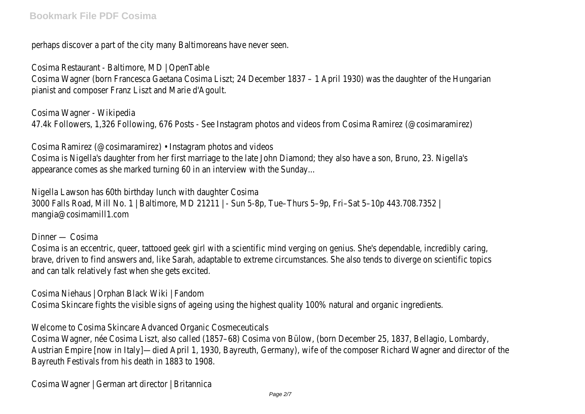perhaps discover a part of the city many Baltimoreans have never seen.

Cosima Restaurant - Baltimore, MD | OpenTable

Cosima Wagner (born Francesca Gaetana Cosima Liszt; 24 December 1837 – 1 April 1930) was the daughter of the Hungari pianist and composer Franz Liszt and Marie d'Agoult.

Cosima Wagner - Wikipedia 47.4k Followers, 1,326 Following, 676 Posts - See Instagram photos and videos from Cosima Ramirez (@cosimaramirez)

Cosima Ramirez (@cosimaramirez) • Instagram photos and videos Cosima is Nigella's daughter from her first marriage to the late John Diamond; they also have a son, Bruno, 23. Nigella's appearance comes as she marked turning 60 in an interview with the Sunday...

Nigella Lawson has 60th birthday lunch with daughter Cosima 3000 Falls Road, Mill No. 1 | Baltimore, MD 21211 | - Sun 5-8p, Tue–Thurs 5–9p, Fri–Sat 5–10p 443.708.7352 | mangia@cosimamill1.com

#### Dinner — Cosima

Cosima is an eccentric, queer, tattooed geek girl with a scientific mind verging on genius. She's dependable, incredibly caring, brave, driven to find answers and, like Sarah, adaptable to extreme circumstances. She also tends to diverge on scientific to and can talk relatively fast when she gets excited.

Cosima Niehaus | Orphan Black Wiki | Fandom

Cosima Skincare fights the visible signs of ageing using the highest quality 100% natural and organic ingredients.

Welcome to Cosima Skincare Advanced Organic Cosmeceuticals

Cosima Wagner, née Cosima Liszt, also called (1857–68) Cosima von Bülow, (born December 25, 1837, Bellagio, Lombardy, Austrian Empire [now in Italy]—died April 1, 1930, Bayreuth, Germany), wife of the composer Richard Wagner and director o Bayreuth Festivals from his death in 1883 to 1908.

Cosima Wagner | German art director | Britannica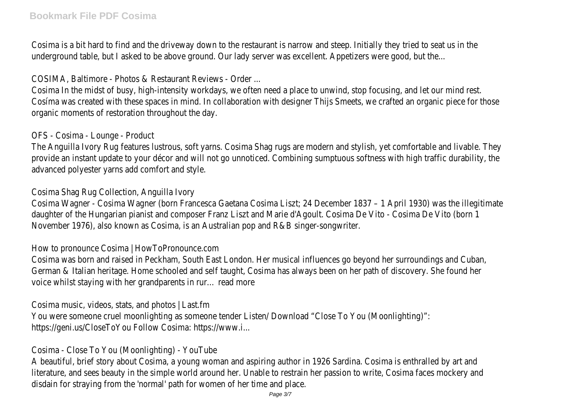Cosima is a bit hard to find and the driveway down to the restaurant is narrow and steep. Initially they tried to seat us in underground table, but I asked to be above ground. Our lady server was excellent. Appetizers were good, but the.

COSIMA, Baltimore - Photos & Restaurant Reviews - Order ...

Cosima In the midst of busy, high-intensity workdays, we often need a place to unwind, stop focusing, and let our mind res Cosíma was created with these spaces in mind. In collaboration with designer Thijs Smeets, we crafted an organic piece for organic moments of restoration throughout the day.

OFS - Cosima - Lounge - Product

The Anguilla Ivory Rug features lustrous, soft yarns. Cosima Shag rugs are modern and stylish, yet comfortable and livable. The provide an instant update to your décor and will not go unnoticed. Combining sumptuous softness with high traffic durabili advanced polyester yarns add comfort and style.

Cosima Shag Rug Collection, Anguilla Ivory

Cosima Wagner - Cosima Wagner (born Francesca Gaetana Cosima Liszt; 24 December 1837 – 1 April 1930) was the illegiti daughter of the Hungarian pianist and composer Franz Liszt and Marie d'Agoult. Cosima De Vito - Cosima De Vito (born 1 November 1976), also known as Cosima, is an Australian pop and R&B singer-songwriter.

How to pronounce Cosima | HowToPronounce.com

Cosima was born and raised in Peckham, South East London. Her musical influences go beyond her surroundings and Cuban, German & Italian heritage. Home schooled and self taught, Cosima has always been on her path of discovery. She found her voice whilst staying with her grandparents in rur… read more

Cosima music, videos, stats, and photos | Last.fm You were someone cruel moonlighting as someone tender Listen/ Download "Close To You (Moonlighting)": https://geni.us/CloseToYou Follow Cosima: https://www.i...

Cosima - Close To You (Moonlighting) - YouTube

A beautiful, brief story about Cosima, a young woman and aspiring author in 1926 Sardina. Cosima is enthralled by art and literature, and sees beauty in the simple world around her. Unable to restrain her passion to write, Cosima faces mockery a disdain for straying from the 'normal' path for women of her time and place.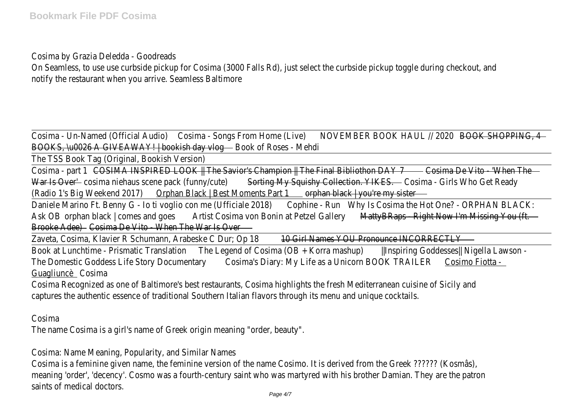Cosima by Grazia Deledda - Goodreads

On Seamless, to use use curbside pickup for Cosima (3000 Falls Rd), just select the curbside pickup toggle during checkout notify the restaurant when you arrive. Seamless Baltimore

Cosima - Un-Named (Official Audiopsima - Songs From Home (Live) DVEMBER BOOK HAUL // 2020 BOOK SHOPPING, 4 BOOKS, \u0026 A GIVEAWAY! | bookish day ylonook of Roses - Mehdi

The TSS Book Tag (Original, Bookish Version)

Cosima - part COSIMA INSPIRED LOOK IT The Savior's Champion IT The Final Bibliothon DA& 65 am De Vito - 'When The War Is Overcosima niehaus scene pack (funny/cute) My Squishy Collection. YIKES osima - Girls Who Get Ready (Radio 1's Big Weekend 201 Orphan Black | Best Moments Part 1 and black | you're my sister

Daniele Marino Ft. Benny G - Io ti voglio con me (Ufficiale 20018) e - RunWhy Is Cosima the Hot One? - ORPHAN BLACK: Ask OB orphan black | comes and goastist Cosima von Bonin at Petzel Gallery Hyperaps - Right Now I'm Missing You (ft Brooke Adee)Cosima De Vito - When The War Is Over

Zaveta, Cosima, Klavier R Schumann, Arabeske C Dur; Op 108 Girl Names YOU Pronounce INCORRECTLY

Book at Lunchtime - Prismatic Translattion Legend of Cosima (OB + Korra mashub) hspiring Goddesses|| Nigella Lawson -The Domestic Goddess Life Story Document@oxima's Diary: My Life as a Unicorn BOOK TRAILEROsimo Fiotta -GuagliuncèCosima

Cosima Recognized as one of Baltimore's best restaurants, Cosima highlights the fresh Mediterranean cuisine of Sicily and captures the authentic essence of traditional Southern Italian flavors through its menu and unique cocktails.

Cosima

The name Cosima is a girl's name of Greek origin meaning "order, beauty".

Cosima: Name Meaning, Popularity, and Similar Names

Cosima is a feminine given name, the feminine version of the name Cosimo. It is derived from the Greek ?????? (Kosmâs), meaning 'order', 'decency'. Cosmo was a fourth-century saint who was martyred with his brother Damian. They are the patr saints of medical doctors.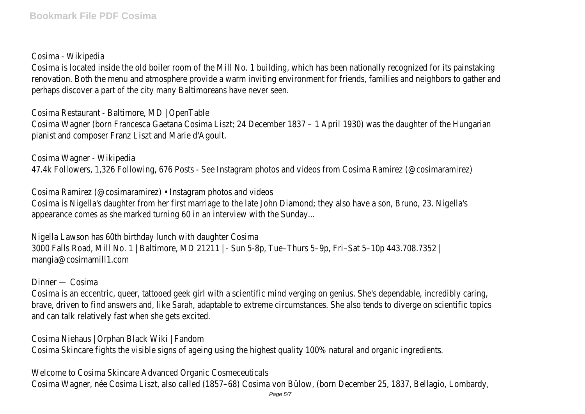Cosima - Wikipedia

Cosima is located inside the old boiler room of the Mill No. 1 building, which has been nationally recognized for its painstaking renovation. Both the menu and atmosphere provide a warm inviting environment for friends, families and neighbors to gather perhaps discover a part of the city many Baltimoreans have never seen.

Cosima Restaurant - Baltimore, MD | OpenTable

Cosima Wagner (born Francesca Gaetana Cosima Liszt; 24 December 1837 – 1 April 1930) was the daughter of the Hungari pianist and composer Franz Liszt and Marie d'Agoult.

Cosima Wagner - Wikipedia

47.4k Followers, 1,326 Following, 676 Posts - See Instagram photos and videos from Cosima Ramirez (@cosimaramirez)

Cosima Ramirez (@cosimaramirez) • Instagram photos and videos Cosima is Nigella's daughter from her first marriage to the late John Diamond; they also have a son, Bruno, 23. Nigella's appearance comes as she marked turning 60 in an interview with the Sunday...

Nigella Lawson has 60th birthday lunch with daughter Cosima 3000 Falls Road, Mill No. 1 | Baltimore, MD 21211 | - Sun 5-8p, Tue–Thurs 5–9p, Fri–Sat 5–10p 443.708.7352 | mangia@cosimamill1.com

Dinner — Cosima

Cosima is an eccentric, queer, tattooed geek girl with a scientific mind verging on genius. She's dependable, incredibly caring, brave, driven to find answers and, like Sarah, adaptable to extreme circumstances. She also tends to diverge on scientific to and can talk relatively fast when she gets excited.

Cosima Niehaus | Orphan Black Wiki | Fandom Cosima Skincare fights the visible signs of ageing using the highest quality 100% natural and organic ingredients.

Welcome to Cosima Skincare Advanced Organic Cosmeceuticals Cosima Wagner, née Cosima Liszt, also called (1857–68) Cosima von Bülow, (born December 25, 1837, Bellagio, Lombardy,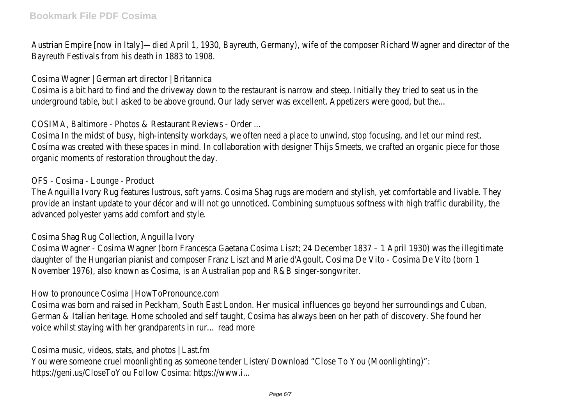Austrian Empire [now in Italy]—died April 1, 1930, Bayreuth, Germany), wife of the composer Richard Wagner and director o Bayreuth Festivals from his death in 1883 to 1908.

Cosima Wagner | German art director | Britannica

Cosima is a bit hard to find and the driveway down to the restaurant is narrow and steep. Initially they tried to seat us in underground table, but I asked to be above ground. Our lady server was excellent. Appetizers were good, but the.

COSIMA, Baltimore - Photos & Restaurant Reviews - Order ...

Cosima In the midst of busy, high-intensity workdays, we often need a place to unwind, stop focusing, and let our mind res Cosima was created with these spaces in mind. In collaboration with designer Thijs Smeets, we crafted an organic piece for organic moments of restoration throughout the day.

## OFS - Cosima - Lounge - Product

The Anguilla Ivory Rug features lustrous, soft yarns. Cosima Shag rugs are modern and stylish, yet comfortable and livable. The provide an instant update to your décor and will not go unnoticed. Combining sumptuous softness with high traffic durabili advanced polyester yarns add comfort and style.

Cosima Shag Rug Collection, Anguilla Ivory

Cosima Wagner - Cosima Wagner (born Francesca Gaetana Cosima Liszt; 24 December 1837 – 1 April 1930) was the illegitii daughter of the Hungarian pianist and composer Franz Liszt and Marie d'Agoult. Cosima De Vito - Cosima De Vito (born 1 November 1976), also known as Cosima, is an Australian pop and R&B singer-songwriter.

How to pronounce Cosima | HowToPronounce.com

Cosima was born and raised in Peckham, South East London. Her musical influences go beyond her surroundings and Cuban, German & Italian heritage. Home schooled and self taught, Cosima has always been on her path of discovery. She found her voice whilst staying with her grandparents in rur… read more

Cosima music, videos, stats, and photos | Last.fm

You were someone cruel moonlighting as someone tender Listen/ Download "Close To You (Moonlighting)": https://geni.us/CloseToYou Follow Cosima: https://www.i...